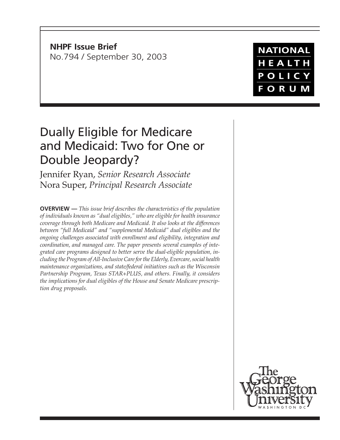**NHPF Issue Brief** No.794 / September 30, 2003

# **NATIONAL** HEALTH POLICY FORUM

# Dually Eligible for Medicare and Medicaid: Two for One or Double Jeopardy?

Jennifer Ryan, *Senior Research Associate* Nora Super, *Principal Research Associate*

**OVERVIEW —** *This issue brief describes the characteristics of the population of individuals known as "dual eligibles," who are eligible for health insurance coverage through both Medicare and Medicaid. It also looks at the differences between "full Medicaid" and "supplemental Medicaid" dual eligibles and the ongoing challenges associated with enrollment and eligibility, integration and coordination, and managed care. The paper presents several examples of integrated care programs designed to better serve the dual-eligible population, including the Program of All-Inclusive Care for the Elderly, Evercare, social health maintenance organizations, and state/federal initiatives such as the Wisconsin Partnership Program, Texas STAR+PLUS, and others. Finally, it considers the implications for dual eligibles of the House and Senate Medicare prescription drug proposals.*

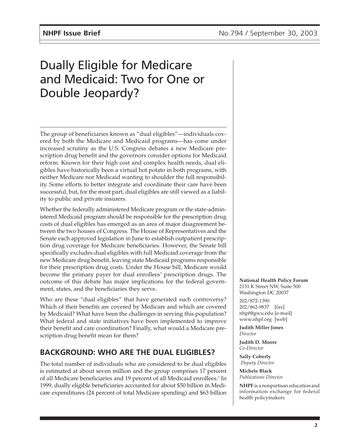# Dually Eligible for Medicare and Medicaid: Two for One or Double Jeopardy?

The group of beneficiaries known as "dual eligibles"—individuals covered by both the Medicare and Medicaid programs—has come under increased scrutiny as the U.S. Congress debates a new Medicare prescription drug benefit and the governors consider options for Medicaid reform. Known for their high cost and complex health needs, dual eligibles have historically been a virtual hot potato in both programs, with neither Medicare nor Medicaid wanting to shoulder the full responsibility. Some efforts to better integrate and coordinate their care have been successful, but, for the most part, dual eligibles are still viewed as a liability to public and private insurers.

Whether the federally administered Medicare program or the state-administered Medicaid program should be responsible for the prescription drug costs of dual eligibles has emerged as an area of major disagreement between the two houses of Congress. The House of Representatives and the Senate each approved legislation in June to establish outpatient prescription drug coverage for Medicare beneficiaries. However, the Senate bill specifically excludes dual eligibles with full Medicaid coverage from the new Medicare drug benefit, leaving state Medicaid programs responsible for their prescription drug costs. Under the House bill, Medicare would become the primary payer for dual enrollees' prescription drugs. The outcome of this debate has major implications for the federal government, states, and the beneficiaries they serve.

Who are these "dual eligibles" that have generated such controversy? Which of their benefits are covered by Medicare and which are covered by Medicaid? What have been the challenges in serving this population? What federal and state initiatives have been implemented to improve their benefit and care coordination? Finally, what would a Medicare prescription drug benefit mean for them?

# **BACKGROUND: WHO ARE THE DUAL ELIGIBLES?**

The total number of individuals who are considered to be dual eligibles is estimated at about seven million and the group comprises 17 percent of all Medicare beneficiaries and 19 percent of all Medicaid enrollees.<sup>1</sup> In 1999, dually eligible beneficiaries accounted for about \$50 billion in Medicare expenditures (24 percent of total Medicare spending) and \$63 billion

#### **National Health Policy Forum**

2131 K Street NW, Suite 500 Washington DC 20037 202/872-1390 202/862-9837 [fax] nhpf@gwu.edu [e-mail] www.nhpf.org [web]

**Judith Miller Jones** *Director*

**Judith D. Moore** *Co-Director*

**Sally Coberly**  *Deputy Director*

**Michele Black** *Publications Director*

**NHPF** is a nonpartisan education and information exchange for federal health policymakers.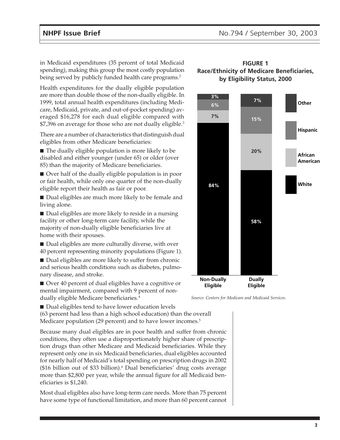in Medicaid expenditures (35 percent of total Medicaid spending), making this group the most costly population being served by publicly funded health care programs.<sup>2</sup>

Health expenditures for the dually eligible population are more than double those of the non-dually eligible. In 1999, total annual health expenditures (including Medicare, Medicaid, private, and out-of-pocket spending) averaged \$16,278 for each dual eligible compared with \$7,396 on average for those who are not dually eligible.<sup>3</sup>

There are a number of characteristics that distinguish dual eligibles from other Medicare beneficiaries:

■ The dually eligible population is more likely to be disabled and either younger (under 65) or older (over 85) than the majority of Medicare beneficiaries.

■ Over half of the dually eligible population is in poor or fair health, while only one quarter of the non-dually eligible report their health as fair or poor.

■ Dual eligibles are much more likely to be female and living alone.

■ Dual eligibles are more likely to reside in a nursing facility or other long-term care facility, while the majority of non-dually eligible beneficiaries live at home with their spouses.

■ Dual eligibles are more culturally diverse, with over 40 percent representing minority populations (Figure 1).

■ Dual eligibles are more likely to suffer from chronic and serious health conditions such as diabetes, pulmonary disease, and stroke.



#### **FIGURE 1 Race/Ethnicity of Medicare Beneficiaries, by Eligibility Status, 2000**



*Source: Centers for Medicare and Medicaid Services.*

■ Dual eligibles tend to have lower education levels (63 percent had less than a high school education) than the overall

Medicare population (29 percent) and to have lower incomes.<sup>5</sup>

Because many dual eligibles are in poor health and suffer from chronic conditions, they often use a disproportionately higher share of prescription drugs than other Medicare and Medicaid beneficiaries. While they represent only one in six Medicaid beneficiaries, dual eligibles accounted for nearly half of Medicaid's total spending on prescription drugs in 2002 (\$16 billion out of \$33 billion).6 Dual beneficiaries' drug costs average more than \$2,800 per year, while the annual figure for all Medicaid beneficiaries is \$1,240.

Most dual eligibles also have long-term care needs. More than 75 percent have some type of functional limitation, and more than 60 percent cannot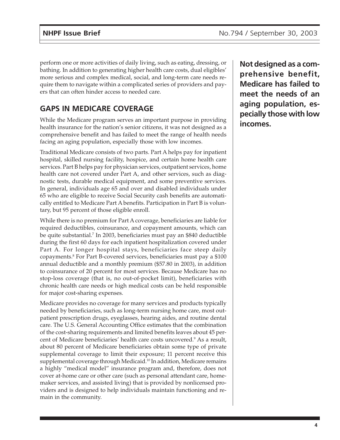perform one or more activities of daily living, such as eating, dressing, or bathing. In addition to generating higher health care costs, dual eligibles' more serious and complex medical, social, and long-term care needs require them to navigate within a complicated series of providers and payers that can often hinder access to needed care.

# **GAPS IN MEDICARE COVERAGE**

While the Medicare program serves an important purpose in providing health insurance for the nation's senior citizens, it was not designed as a comprehensive benefit and has failed to meet the range of health needs facing an aging population, especially those with low incomes.

Traditional Medicare consists of two parts. Part A helps pay for inpatient hospital, skilled nursing facility, hospice, and certain home health care services. Part B helps pay for physician services, outpatient services, home health care not covered under Part A, and other services, such as diagnostic tests, durable medical equipment, and some preventive services. In general, individuals age 65 and over and disabled individuals under 65 who are eligible to receive Social Security cash benefits are automatically entitled to Medicare Part A benefits. Participation in Part B is voluntary, but 95 percent of those eligible enroll.

While there is no premium for Part A coverage, beneficiaries are liable for required deductibles, coinsurance, and copayment amounts, which can be quite substantial.7 In 2003, beneficiaries must pay an \$840 deductible during the first 60 days for each inpatient hospitalization covered under Part A. For longer hospital stays, beneficiaries face steep daily copayments.8 For Part B-covered services, beneficiaries must pay a \$100 annual deductible and a monthly premium (\$57.80 in 2003), in addition to coinsurance of 20 percent for most services. Because Medicare has no stop-loss coverage (that is, no out-of-pocket limit), beneficiaries with chronic health care needs or high medical costs can be held responsible for major cost-sharing expenses.

Medicare provides no coverage for many services and products typically needed by beneficiaries, such as long-term nursing home care, most outpatient prescription drugs, eyeglasses, hearing aides, and routine dental care. The U.S. General Accounting Office estimates that the combination of the cost-sharing requirements and limited benefits leaves about 45 percent of Medicare beneficiaries' health care costs uncovered.<sup>9</sup> As a result, about 80 percent of Medicare beneficiaries obtain some type of private supplemental coverage to limit their exposure; 11 percent receive this supplemental coverage through Medicaid.10 In addition, Medicare remains a highly "medical model" insurance program and, therefore, does not cover at-home care or other care (such as personal attendant care, homemaker services, and assisted living) that is provided by nonlicensed providers and is designed to help individuals maintain functioning and remain in the community.

**Not designed as a comprehensive benefit, Medicare has failed to meet the needs of an aging population, especially those with low incomes.**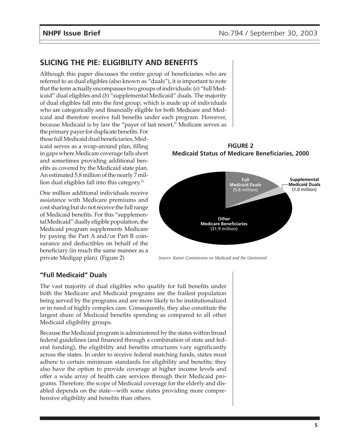## **SLICING THE PIE: ELIGIBILITY AND BENEFITS**

Although this paper discusses the entire group of beneficiaries who are referred to as dual eligibles (also known as "duals"), it is important to note that the term actually encompasses two groups of individuals: (*a*) "full Medicaid" dual eligibles and (*b*) "supplemental Medicaid" duals. The majority of dual eligibles fall into the first group, which is made up of individuals who are categorically and financially eligible for both Medicare and Medicaid and therefore receive full benefits under each program. However, because Medicaid is by law the "payer of last resort," Medicare serves as

the primary payer for duplicate benefits. For these full Medicaid dual beneficiaries, Medicaid serves as a wrap-around plan, filling in gaps where Medicare coverage falls short and sometimes providing additional benefits as covered by the Medicaid state plan. An estimated 5.8 million of the nearly 7 million dual eligibles fall into this category.<sup>11</sup>

One million additional individuals receive assistance with Medicare premiums and cost sharing but do not receive the full range of Medicaid benefits. For this "supplemental Medicaid" dually eligible population, the Medicaid program supplements Medicare by paying the Part A and/or Part B coinsurance and deductibles on behalf of the beneficiary (in much the same manner as a private Medigap plan). (Figure 2)



**FIGURE 2**

*Source: Kaiser Commission on Medicaid and the Uninsured*

#### **"Full Medicaid" Duals**

The vast majority of dual eligibles who qualify for full benefits under both the Medicare and Medicaid programs are the frailest population being served by the programs and are more likely to be institutionalized or in need of highly complex care. Consequently, they also constitute the largest share of Medicaid benefits spending as compared to all other Medicaid eligibility groups.

Because the Medicaid program is administered by the states within broad federal guidelines (and financed through a combination of state and federal funding), the eligibility and benefits structures vary significantly across the states. In order to receive federal matching funds, states must adhere to certain minimum standards for eligibility and benefits; they also have the option to provide coverage at higher income levels and offer a wide array of health care services through their Medicaid programs. Therefore, the scope of Medicaid coverage for the elderly and disabled depends on the state—with some states providing more comprehensive eligibility and benefits than others.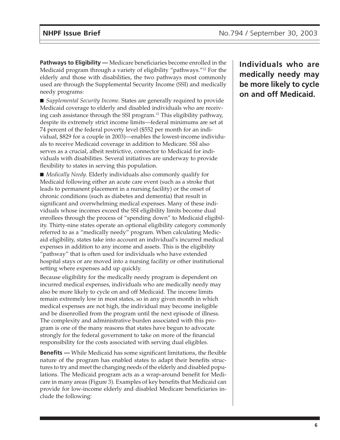**Pathways to Eligibility —** Medicare beneficiaries become enrolled in the Medicaid program through a variety of eligibility "pathways."12 For the elderly and those with disabilities, the two pathways most commonly used are through the Supplemental Security Income (SSI) and medically needy programs:

■ *Supplemental Security Income.* States are generally required to provide Medicaid coverage to elderly and disabled individuals who are receiving cash assistance through the SSI program.13 This eligibility pathway, despite its extremely strict income limits—federal minimums are set at 74 percent of the federal poverty level (\$552 per month for an individual, \$829 for a couple in 2003)—enables the lowest-income individuals to receive Medicaid coverage in addition to Medicare. SSI also serves as a crucial, albeit restrictive, connector to Medicaid for individuals with disabilities. Several initiatives are underway to provide flexibility to states in serving this population.

■ *Medically Needy*. Elderly individuals also commonly qualify for Medicaid following either an acute care event (such as a stroke that leads to permanent placement in a nursing facility) or the onset of chronic conditions (such as diabetes and dementia) that result in significant and overwhelming medical expenses. Many of these individuals whose incomes exceed the SSI eligibility limits become dual enrollees through the process of "spending down" to Medicaid eligibility. Thirty-nine states operate an optional eligibility category commonly referred to as a "medically needy" program. When calculating Medicaid eligibility, states take into account an individual's incurred medical expenses in addition to any income and assets. This is the eligibility "pathway" that is often used for individuals who have extended hospital stays or are moved into a nursing facility or other institutional setting where expenses add up quickly.

Because eligibility for the medically needy program is dependent on incurred medical expenses, individuals who are medically needy may also be more likely to cycle on and off Medicaid. The income limits remain extremely low in most states, so in any given month in which medical expenses are not high, the individual may become ineligible and be disenrolled from the program until the next episode of illness. The complexity and administrative burden associated with this program is one of the many reasons that states have begun to advocate strongly for the federal government to take on more of the financial responsibility for the costs associated with serving dual eligibles.

**Benefits —** While Medicaid has some significant limitations, the flexible nature of the program has enabled states to adapt their benefits structures to try and meet the changing needs of the elderly and disabled populations. The Medicaid program acts as a wrap-around benefit for Medicare in many areas (Figure 3). Examples of key benefits that Medicaid can provide for low-income elderly and disabled Medicare beneficiaries include the following:

**Individuals who are medically needy may be more likely to cycle on and off Medicaid.**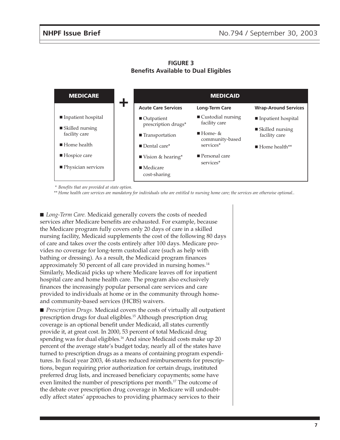| <b>MEDICARE</b>                                 | t | <b>MEDICAID</b>                                  |                                                   |                                    |
|-------------------------------------------------|---|--------------------------------------------------|---------------------------------------------------|------------------------------------|
|                                                 |   | <b>Acute Care Services</b>                       | <b>Long-Term Care</b>                             | <b>Wrap-Around Services</b>        |
| Inpatient hospital                              |   | $\blacksquare$ Outpatient<br>prescription drugs* | $\blacksquare$ Custodial nursing<br>facility care | Impatient hospital                 |
| $\blacksquare$ Skilled nursing<br>facility care |   | ■ Transportation                                 | $\blacksquare$ Home- &<br>community-based         | ■ Skilled nursing<br>facility care |
| $\blacksquare$ Home health                      |   | $\blacksquare$ Dental care*                      | services*                                         | $\blacksquare$ Home health**       |
| $\blacksquare$ Hospice care                     |   | ■ Vision & hearing*                              | $\blacksquare$ Personal care                      |                                    |
| ■ Physician services                            |   | $\blacksquare$ Medicare<br>cost-sharing          | services <sup>*</sup>                             |                                    |

**FIGURE 3 Benefits Available to Dual Eligibles**

*\* Benefits that are provided at state option.*

*\*\* Home health care services are mandatory for individuals who are entitled to nursing home care; the services are otherwise optional..*

■ *Long-Term Care*. Medicaid generally covers the costs of needed services after Medicare benefits are exhausted. For example, because the Medicare program fully covers only 20 days of care in a skilled nursing facility, Medicaid supplements the cost of the following 80 days of care and takes over the costs entirely after 100 days. Medicare provides no coverage for long-term custodial care (such as help with bathing or dressing). As a result, the Medicaid program finances approximately 50 percent of all care provided in nursing homes.<sup>14</sup> Similarly, Medicaid picks up where Medicare leaves off for inpatient hospital care and home health care. The program also exclusively finances the increasingly popular personal care services and care provided to individuals at home or in the community through homeand community-based services (HCBS) waivers.

■ *Prescription Drugs*. Medicaid covers the costs of virtually all outpatient prescription drugs for dual eligibles.15 Although prescription drug coverage is an optional benefit under Medicaid, all states currently provide it, at great cost. In 2000, 53 percent of total Medicaid drug spending was for dual eligibles.<sup>16</sup> And since Medicaid costs make up 20 percent of the average state's budget today, nearly all of the states have turned to prescription drugs as a means of containing program expenditures. In fiscal year 2003, 46 states reduced reimbursements for prescriptions, begun requiring prior authorization for certain drugs, instituted preferred drug lists, and increased beneficiary copayments; some have even limited the number of prescriptions per month.17 The outcome of the debate over prescription drug coverage in Medicare will undoubtedly affect states' approaches to providing pharmacy services to their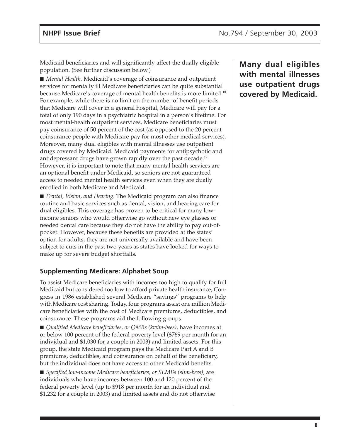Medicaid beneficiaries and will significantly affect the dually eligible population. (See further discussion below.)

■ *Mental Health.* Medicaid's coverage of coinsurance and outpatient services for mentally ill Medicare beneficiaries can be quite substantial because Medicare's coverage of mental health benefits is more limited.18 For example, while there is no limit on the number of benefit periods that Medicare will cover in a general hospital, Medicare will pay for a total of only 190 days in a psychiatric hospital in a person's lifetime. For most mental-health outpatient services, Medicare beneficiaries must pay coinsurance of 50 percent of the cost (as opposed to the 20 percent coinsurance people with Medicare pay for most other medical services). Moreover, many dual eligibles with mental illnesses use outpatient drugs covered by Medicaid. Medicaid payments for antipsychotic and antidepressant drugs have grown rapidly over the past decade.<sup>19</sup> However, it is important to note that many mental health services are an optional benefit under Medicaid, so seniors are not guaranteed access to needed mental health services even when they are dually enrolled in both Medicare and Medicaid.

■ *Dental, Vision, and Hearing*. The Medicaid program can also finance routine and basic services such as dental, vision, and hearing care for dual eligibles. This coverage has proven to be critical for many lowincome seniors who would otherwise go without new eye glasses or needed dental care because they do not have the ability to pay out-ofpocket. However, because these benefits are provided at the states' option for adults, they are not universally available and have been subject to cuts in the past two years as states have looked for ways to make up for severe budget shortfalls.

#### **Supplementing Medicare: Alphabet Soup**

To assist Medicare beneficiaries with incomes too high to qualify for full Medicaid but considered too low to afford private health insurance, Congress in 1986 established several Medicare "savings" programs to help with Medicare cost sharing. Today, four programs assist one million Medicare beneficiaries with the cost of Medicare premiums, deductibles, and coinsurance. These programs aid the following groups:

■ *Qualified Medicare beneficiaries, or QMBs (kwim-bees)*, have incomes at or below 100 percent of the federal poverty level (\$769 per month for an individual and \$1,030 for a couple in 2003) and limited assets. For this group, the state Medicaid program pays the Medicare Part A and B premiums, deductibles, and coinsurance on behalf of the beneficiary, but the individual does not have access to other Medicaid benefits.

■ *Specified low-income Medicare beneficiaries, or SLMBs (slim-bees), are* individuals who have incomes between 100 and 120 percent of the federal poverty level (up to \$918 per month for an individual and \$1,232 for a couple in 2003) and limited assets and do not otherwise **Many dual eligibles with mental illnesses use outpatient drugs covered by Medicaid.**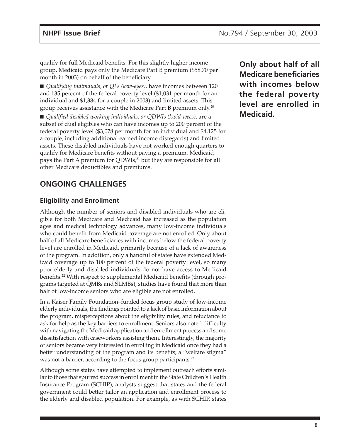qualify for full Medicaid benefits. For this slightly higher income group, Medicaid pays only the Medicare Part B premium (\$58.70 per month in 2003) on behalf of the beneficiary.

■ *Qualifying individuals, or QI's (kew-eyes),* have incomes between 120 and 135 percent of the federal poverty level (\$1,031 per month for an individual and \$1,384 for a couple in 2003) and limited assets. This group receives assistance with the Medicare Part B premium only.20

■ *Qualified disabled working individuals, or QDWIs (kwid-wees), are a* subset of dual eligibles who can have incomes up to 200 percent of the federal poverty level (\$3,078 per month for an individual and \$4,125 for a couple, including additional earned income disregards) and limited assets. These disabled individuals have not worked enough quarters to qualify for Medicare benefits without paying a premium. Medicaid pays the Part A premium for QDWIs,<sup>21</sup> but they are responsible for all other Medicare deductibles and premiums.

# **ONGOING CHALLENGES**

### **Eligibility and Enrollment**

Although the number of seniors and disabled individuals who are eligible for both Medicare and Medicaid has increased as the population ages and medical technology advances, many low-income individuals who could benefit from Medicaid coverage are not enrolled. Only about half of all Medicare beneficiaries with incomes below the federal poverty level are enrolled in Medicaid, primarily because of a lack of awareness of the program. In addition, only a handful of states have extended Medicaid coverage up to 100 percent of the federal poverty level, so many poor elderly and disabled individuals do not have access to Medicaid benefits.<sup>22</sup> With respect to supplemental Medicaid benefits (through programs targeted at QMBs and SLMBs), studies have found that more than half of low-income seniors who are eligible are not enrolled.

In a Kaiser Family Foundation–funded focus group study of low-income elderly individuals, the findings pointed to a lack of basic information about the program, misperceptions about the eligibility rules, and reluctance to ask for help as the key barriers to enrollment. Seniors also noted difficulty with navigating the Medicaid application and enrollment process and some dissatisfaction with caseworkers assisting them. Interestingly, the majority of seniors became very interested in enrolling in Medicaid once they had a better understanding of the program and its benefits; a "welfare stigma" was not a barrier, according to the focus group participants.<sup>23</sup>

Although some states have attempted to implement outreach efforts similar to those that spurred success in enrollment in the State Children's Health Insurance Program (SCHIP), analysts suggest that states and the federal government could better tailor an application and enrollment process to the elderly and disabled population. For example, as with SCHIP, states

**Only about half of all Medicare beneficiaries with incomes below the federal poverty level are enrolled in Medicaid.**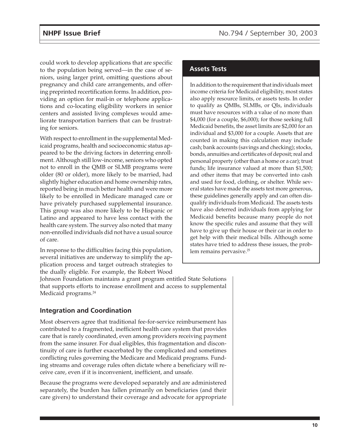could work to develop applications that are specific to the population being served—in the case of seniors, using larger print, omitting questions about pregnancy and child care arrangements, and offering preprinted recertification forms. In addition, providing an option for mail-in or telephone applications and co-locating eligibility workers in senior centers and assisted living complexes would ameliorate transportation barriers that can be frustrating for seniors.

With respect to enrollment in the supplemental Medicaid programs, health and socioeconomic status appeared to be the driving factors in deterring enrollment. Although still low-income, seniors who opted not to enroll in the QMB or SLMB programs were older (80 or older), more likely to be married, had slightly higher education and home ownership rates, reported being in much better health and were more likely to be enrolled in Medicare managed care or have privately purchased supplemental insurance. This group was also more likely to be Hispanic or Latino and appeared to have less contact with the health care system. The survey also noted that many non-enrolled individuals did not have a usual source of care.

In response to the difficulties facing this population, several initiatives are underway to simplify the application process and target outreach strategies to the dually eligible. For example, the Robert Wood

#### **Assets Tests**

In addition to the requirement that individuals meet income criteria for Medicaid eligibility, most states also apply resource limits, or assets tests. In order to qualify as QMBs, SLMBs, or QIs, individuals must have resources with a value of no more than \$4,000 (for a couple, \$6,000); for those seeking full Medicaid benefits, the asset limits are \$2,000 for an individual and \$3,000 for a couple. Assets that are counted in making this calculation may include cash; bank accounts (savings and checking); stocks, bonds, annuities and certificates of deposit; real and personal property (other than a home or a car); trust funds; life insurance valued at more than \$1,500; and other items that may be converted into cash and used for food, clothing, or shelter. While several states have made the assets test more generous, these guidelines generally apply and can often disqualify individuals from Medicaid. The assets tests have also deterred individuals from applying for Medicaid benefits because many people do not know the specific rules and assume that they will have to give up their house or their car in order to get help with their medical bills. Although some states have tried to address these issues, the problem remains pervasive.<sup>25</sup>

Johnson Foundation maintains a grant program entitled State Solutions that supports efforts to increase enrollment and access to supplemental Medicaid programs.<sup>24</sup>

#### **Integration and Coordination**

Most observers agree that traditional fee-for-service reimbursement has contributed to a fragmented, inefficient health care system that provides care that is rarely coordinated, even among providers receiving payment from the same insurer. For dual eligibles, this fragmentation and discontinuity of care is further exacerbated by the complicated and sometimes conflicting rules governing the Medicare and Medicaid programs. Funding streams and coverage rules often dictate where a beneficiary will receive care, even if it is inconvenient, inefficient, and unsafe.

Because the programs were developed separately and are administered separately, the burden has fallen primarily on beneficiaries (and their care givers) to understand their coverage and advocate for appropriate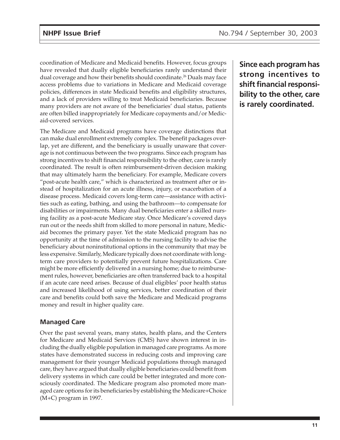coordination of Medicare and Medicaid benefits. However, focus groups have revealed that dually eligible beneficiaries rarely understand their dual coverage and how their benefits should coordinate.<sup>26</sup> Duals may face access problems due to variations in Medicare and Medicaid coverage policies, differences in state Medicaid benefits and eligibility structures, and a lack of providers willing to treat Medicaid beneficiaries. Because many providers are not aware of the beneficiaries' dual status, patients are often billed inappropriately for Medicare copayments and/or Medicaid-covered services.

The Medicare and Medicaid programs have coverage distinctions that can make dual enrollment extremely complex. The benefit packages overlap, yet are different, and the beneficiary is usually unaware that coverage is not continuous between the two programs. Since each program has strong incentives to shift financial responsibility to the other, care is rarely coordinated. The result is often reimbursement-driven decision making that may ultimately harm the beneficiary. For example, Medicare covers "post-acute health care," which is characterized as treatment after or instead of hospitalization for an acute illness, injury, or exacerbation of a disease process. Medicaid covers long-term care—assistance with activities such as eating, bathing, and using the bathroom—to compensate for disabilities or impairments. Many dual beneficiaries enter a skilled nursing facility as a post-acute Medicare stay. Once Medicare's covered days run out or the needs shift from skilled to more personal in nature, Medicaid becomes the primary payer. Yet the state Medicaid program has no opportunity at the time of admission to the nursing facility to advise the beneficiary about noninstitutional options in the community that may be less expensive. Similarly, Medicare typically does not coordinate with longterm care providers to potentially prevent future hospitalizations. Care might be more efficiently delivered in a nursing home; due to reimbursement rules, however, beneficiaries are often transferred back to a hospital if an acute care need arises. Because of dual eligibles' poor health status and increased likelihood of using services, better coordination of their care and benefits could both save the Medicare and Medicaid programs money and result in higher quality care.

### **Managed Care**

Over the past several years, many states, health plans, and the Centers for Medicare and Medicaid Services (CMS) have shown interest in including the dually eligible population in managed care programs. As more states have demonstrated success in reducing costs and improving care management for their younger Medicaid populations through managed care, they have argued that dually eligible beneficiaries could benefit from delivery systems in which care could be better integrated and more consciously coordinated. The Medicare program also promoted more managed care options for its beneficiaries by establishing the Medicare+Choice (M+C) program in 1997.

**Since each program has strong incentives to shift financial responsibility to the other, care is rarely coordinated.**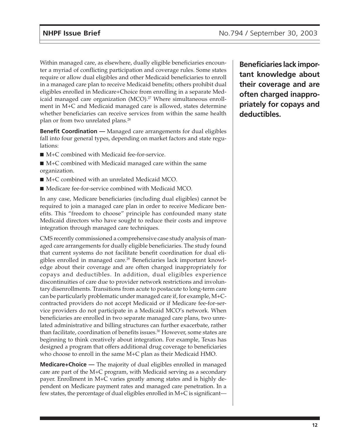Within managed care, as elsewhere, dually eligible beneficiaries encounter a myriad of conflicting participation and coverage rules. Some states require or allow dual eligibles and other Medicaid beneficiaries to enroll in a managed care plan to receive Medicaid benefits; others prohibit dual eligibles enrolled in Medicare+Choice from enrolling in a separate Medicaid managed care organization  $(MCO).^{27}$  Where simultaneous enrollment in M+C and Medicaid managed care is allowed, states determine whether beneficiaries can receive services from within the same health plan or from two unrelated plans.28

**Benefit Coordination —** Managed care arrangements for dual eligibles fall into four general types, depending on market factors and state regulations:

- M+C combined with Medicaid fee-for-service.
- $\blacksquare$  M+C combined with Medicaid managed care within the same organization.
- M+C combined with an unrelated Medicaid MCO.
- Medicare fee-for-service combined with Medicaid MCO.

In any case, Medicare beneficiaries (including dual eligibles) cannot be required to join a managed care plan in order to receive Medicare benefits. This "freedom to choose" principle has confounded many state Medicaid directors who have sought to reduce their costs and improve integration through managed care techniques.

CMS recently commissioned a comprehensive case study analysis of managed care arrangements for dually eligible beneficiaries. The study found that current systems do not facilitate benefit coordination for dual eligibles enrolled in managed care.<sup>29</sup> Beneficiaries lack important knowledge about their coverage and are often charged inappropriately for copays and deductibles. In addition, dual eligibles experience discontinuities of care due to provider network restrictions and involuntary disenrollments. Transitions from acute to postacute to long-term care can be particularly problematic under managed care if, for example, M+Ccontracted providers do not accept Medicaid or if Medicare fee-for-service providers do not participate in a Medicaid MCO's network. When beneficiaries are enrolled in two separate managed care plans, two unrelated administrative and billing structures can further exacerbate, rather than facilitate, coordination of benefits issues.<sup>30</sup> However, some states are beginning to think creatively about integration. For example, Texas has designed a program that offers additional drug coverage to beneficiaries who choose to enroll in the same M+C plan as their Medicaid HMO.

**Medicare+Choice —** The majority of dual eligibles enrolled in managed care are part of the M+C program, with Medicaid serving as a secondary payer. Enrollment in M+C varies greatly among states and is highly dependent on Medicare payment rates and managed care penetration. In a few states, the percentage of dual eligibles enrolled in M+C is significant—

**Beneficiaries lack important knowledge about their coverage and are often charged inappropriately for copays and deductibles.**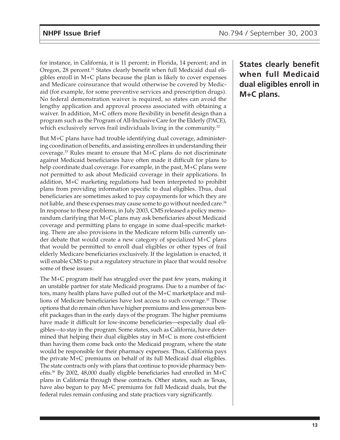for instance, in California, it is 11 percent; in Florida, 14 percent; and in Oregon, 28 percent.<sup>31</sup> States clearly benefit when full Medicaid dual eligibles enroll in M+C plans because the plan is likely to cover expenses and Medicare coinsurance that would otherwise be covered by Medicaid (for example, for some preventive services and prescription drugs). No federal demonstration waiver is required, so states can avoid the lengthy application and approval process associated with obtaining a waiver. In addition, M+C offers more flexibility in benefit design than a program such as the Program of All-Inclusive Care for the Elderly (PACE), which exclusively serves frail individuals living in the community.<sup>32</sup>

But M+C plans have had trouble identifying dual coverage, administering coordination of benefits, and assisting enrollees in understanding their coverage. $33$  Rules meant to ensure that M+C plans do not discriminate against Medicaid beneficiaries have often made it difficult for plans to help coordinate dual coverage. For example, in the past, M+C plans were not permitted to ask about Medicaid coverage in their applications. In addition, M+C marketing regulations had been interpreted to prohibit plans from providing information specific to dual eligibles. Thus, dual beneficiaries are sometimes asked to pay copayments for which they are not liable, and these expenses may cause some to go without needed care.<sup>34</sup> In response to these problems, in July 2003, CMS released a policy memorandum clarifying that M+C plans may ask beneficiaries about Medicaid coverage and permitting plans to engage in some dual-specific marketing. There are also provisions in the Medicare reform bills currently under debate that would create a new category of specialized M+C plans that would be permitted to enroll dual eligibles or other types of frail elderly Medicare beneficiaries exclusively. If the legislation is enacted, it will enable CMS to put a regulatory structure in place that would resolve some of these issues.

The M+C program itself has struggled over the past few years, making it an unstable partner for state Medicaid programs. Due to a number of factors, many health plans have pulled out of the M+C marketplace and millions of Medicare beneficiaries have lost access to such coverage.35 Those options that do remain often have higher premiums and less generous benefit packages than in the early days of the program. The higher premiums have made it difficult for low-income beneficiaries—especially dual eligibles—to stay in the program. Some states, such as California, have determined that helping their dual eligibles stay in M+C is more cost-efficient than having them come back onto the Medicaid program, where the state would be responsible for their pharmacy expenses. Thus, California pays the private M+C premiums on behalf of its full Medicaid dual eligibles. The state contracts only with plans that continue to provide pharmacy benefits.<sup>36</sup> By 2002, 48,000 dually eligible beneficiaries had enrolled in M+C plans in California through these contracts. Other states, such as Texas, have also begun to pay M+C premiums for full Medicaid duals, but the federal rules remain confusing and state practices vary significantly.

**States clearly benefit when full Medicaid dual eligibles enroll in M+C plans.**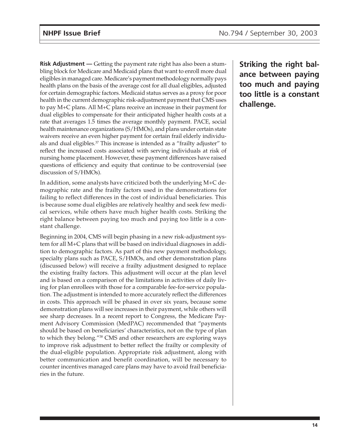**Risk Adjustment —** Getting the payment rate right has also been a stumbling block for Medicare and Medicaid plans that want to enroll more dual eligibles in managed care. Medicare's payment methodology normally pays health plans on the basis of the average cost for all dual eligibles, adjusted for certain demographic factors. Medicaid status serves as a proxy for poor health in the current demographic risk-adjustment payment that CMS uses to pay M+C plans. All M+C plans receive an increase in their payment for dual eligibles to compensate for their anticipated higher health costs at a rate that averages 1.5 times the average monthly payment. PACE, social health maintenance organizations (S/HMOs), and plans under certain state waivers receive an even higher payment for certain frail elderly individuals and dual eligibles.<sup>37</sup> This increase is intended as a "frailty adjuster" to reflect the increased costs associated with serving individuals at risk of nursing home placement. However, these payment differences have raised questions of efficiency and equity that continue to be controversial (see discussion of S/HMOs).

In addition, some analysts have criticized both the underlying M+C demographic rate and the frailty factors used in the demonstrations for failing to reflect differences in the cost of individual beneficiaries. This is because some dual eligibles are relatively healthy and seek few medical services, while others have much higher health costs. Striking the right balance between paying too much and paying too little is a constant challenge.

Beginning in 2004, CMS will begin phasing in a new risk-adjustment system for all M+C plans that will be based on individual diagnoses in addition to demographic factors. As part of this new payment methodology, specialty plans such as PACE, S/HMOs, and other demonstration plans (discussed below) will receive a frailty adjustment designed to replace the existing frailty factors. This adjustment will occur at the plan level and is based on a comparison of the limitations in activities of daily living for plan enrollees with those for a comparable fee-for-service population. The adjustment is intended to more accurately reflect the differences in costs. This approach will be phased in over six years, because some demonstration plans will see increases in their payment, while others will see sharp decreases. In a recent report to Congress, the Medicare Payment Advisory Commission (MedPAC) recommended that "payments should be based on beneficiaries' characteristics, not on the type of plan to which they belong."38 CMS and other researchers are exploring ways to improve risk adjustment to better reflect the frailty or complexity of the dual-eligible population. Appropriate risk adjustment, along with better communication and benefit coordination, will be necessary to counter incentives managed care plans may have to avoid frail beneficiaries in the future.

**Striking the right balance between paying too much and paying too little is a constant challenge.**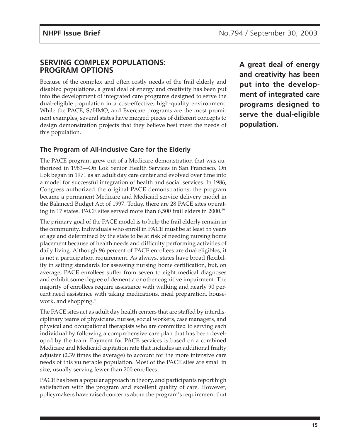### **SERVING COMPLEX POPULATIONS: PROGRAM OPTIONS**

Because of the complex and often costly needs of the frail elderly and disabled populations, a great deal of energy and creativity has been put into the development of integrated care programs designed to serve the dual-eligible population in a cost-effective, high-quality environment. While the PACE, S/HMO, and Evercare programs are the most prominent examples, several states have merged pieces of different concepts to design demonstration projects that they believe best meet the needs of this population.

## **The Program of All-Inclusive Care for the Elderly**

The PACE program grew out of a Medicare demonstration that was authorized in 1983—On Lok Senior Health Services in San Francisco. On Lok began in 1971 as an adult day care center and evolved over time into a model for successful integration of health and social services. In 1986, Congress authorized the original PACE demonstrations; the program became a permanent Medicare and Medicaid service delivery model in the Balanced Budget Act of 1997. Today, there are 28 PACE sites operating in 17 states. PACE sites served more than 6,500 frail elders in 2000.39

The primary goal of the PACE model is to help the frail elderly remain in the community. Individuals who enroll in PACE must be at least 55 years of age and determined by the state to be at risk of needing nursing home placement because of health needs and difficulty performing activities of daily living. Although 96 percent of PACE enrollees are dual eligibles, it is not a participation requirement. As always, states have broad flexibility in setting standards for assessing nursing home certification, but, on average, PACE enrollees suffer from seven to eight medical diagnoses and exhibit some degree of dementia or other cognitive impairment. The majority of enrollees require assistance with walking and nearly 90 percent need assistance with taking medications, meal preparation, housework, and shopping.40

The PACE sites act as adult day health centers that are staffed by interdisciplinary teams of physicians, nurses, social workers, case managers, and physical and occupational therapists who are committed to serving each individual by following a comprehensive care plan that has been developed by the team. Payment for PACE services is based on a combined Medicare and Medicaid capitation rate that includes an additional frailty adjuster (2.39 times the average) to account for the more intensive care needs of this vulnerable population. Most of the PACE sites are small in size, usually serving fewer than 200 enrollees.

PACE has been a popular approach in theory, and participants report high satisfaction with the program and excellent quality of care. However, policymakers have raised concerns about the program's requirement that

**A great deal of energy and creativity has been put into the development of integrated care programs designed to serve the dual-eligible population.**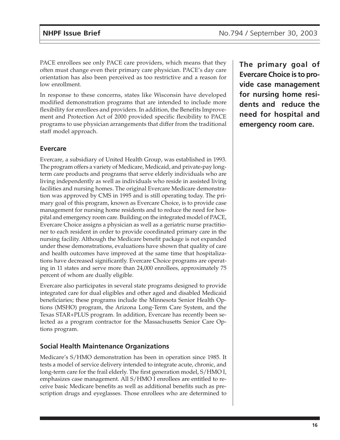PACE enrollees see only PACE care providers, which means that they often must change even their primary care physician. PACE's day care orientation has also been perceived as too restrictive and a reason for low enrollment.

In response to these concerns, states like Wisconsin have developed modified demonstration programs that are intended to include more flexibility for enrollees and providers. In addition, the Benefits Improvement and Protection Act of 2000 provided specific flexibility to PACE programs to use physician arrangements that differ from the traditional staff model approach.

#### **Evercare**

Evercare, a subsidiary of United Health Group, was established in 1993. The program offers a variety of Medicare, Medicaid, and private-pay longterm care products and programs that serve elderly individuals who are living independently as well as individuals who reside in assisted living facilities and nursing homes. The original Evercare Medicare demonstration was approved by CMS in 1995 and is still operating today. The primary goal of this program, known as Evercare Choice, is to provide case management for nursing home residents and to reduce the need for hospital and emergency room care. Building on the integrated model of PACE, Evercare Choice assigns a physician as well as a geriatric nurse practitioner to each resident in order to provide coordinated primary care in the nursing facility. Although the Medicare benefit package is not expanded under these demonstrations, evaluations have shown that quality of care and health outcomes have improved at the same time that hospitalizations have decreased significantly. Evercare Choice programs are operating in 11 states and serve more than 24,000 enrollees, approximately 75 percent of whom are dually eligible.

Evercare also participates in several state programs designed to provide integrated care for dual eligibles and other aged and disabled Medicaid beneficiaries; these programs include the Minnesota Senior Health Options (MSHO) program, the Arizona Long-Term Care System, and the Texas STAR+PLUS program. In addition, Evercare has recently been selected as a program contractor for the Massachusetts Senior Care Options program.

### **Social Health Maintenance Organizations**

Medicare's S/HMO demonstration has been in operation since 1985. It tests a model of service delivery intended to integrate acute, chronic, and long-term care for the frail elderly. The first generation model, S/HMO I, emphasizes case management. All S/HMO I enrollees are entitled to receive basic Medicare benefits as well as additional benefits such as prescription drugs and eyeglasses. Those enrollees who are determined to

**The primary goal of Evercare Choice is to provide case management for nursing home residents and reduce the need for hospital and emergency room care.**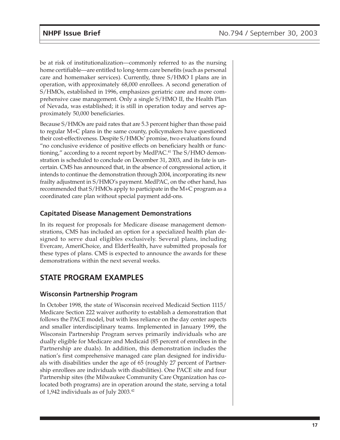be at risk of institutionalization—commonly referred to as the nursing home certifiable—are entitled to long-term care benefits (such as personal care and homemaker services). Currently, three S/HMO I plans are in operation, with approximately 68,000 enrollees. A second generation of S/HMOs, established in 1996, emphasizes geriatric care and more comprehensive case management. Only a single S/HMO II, the Health Plan of Nevada, was established; it is still in operation today and serves approximately 50,000 beneficiaries.

Because S/HMOs are paid rates that are 5.3 percent higher than those paid to regular M+C plans in the same county, policymakers have questioned their cost-effectiveness. Despite S/HMOs' promise, two evaluations found "no conclusive evidence of positive effects on beneficiary health or functioning," according to a recent report by MedPAC.<sup>41</sup> The S/HMO demonstration is scheduled to conclude on December 31, 2003, and its fate is uncertain. CMS has announced that, in the absence of congressional action, it intends to continue the demonstration through 2004, incorporating its new frailty adjustment in S/HMO's payment. MedPAC, on the other hand, has recommended that S/HMOs apply to participate in the M+C program as a coordinated care plan without special payment add-ons.

#### **Capitated Disease Management Demonstrations**

In its request for proposals for Medicare disease management demonstrations, CMS has included an option for a specialized health plan designed to serve dual eligibles exclusively. Several plans, including Evercare, AmeriChoice, and ElderHealth, have submitted proposals for these types of plans. CMS is expected to announce the awards for these demonstrations within the next several weeks.

# **STATE PROGRAM EXAMPLES**

#### **Wisconsin Partnership Program**

In October 1998, the state of Wisconsin received Medicaid Section 1115/ Medicare Section 222 waiver authority to establish a demonstration that follows the PACE model, but with less reliance on the day center aspects and smaller interdisciplinary teams. Implemented in January 1999, the Wisconsin Partnership Program serves primarily individuals who are dually eligible for Medicare and Medicaid (85 percent of enrollees in the Partnership are duals). In addition, this demonstration includes the nation's first comprehensive managed care plan designed for individuals with disabilities under the age of 65 (roughly 27 percent of Partnership enrollees are individuals with disabilities). One PACE site and four Partnership sites (the Milwaukee Community Care Organization has colocated both programs) are in operation around the state, serving a total of 1,942 individuals as of July 2003.42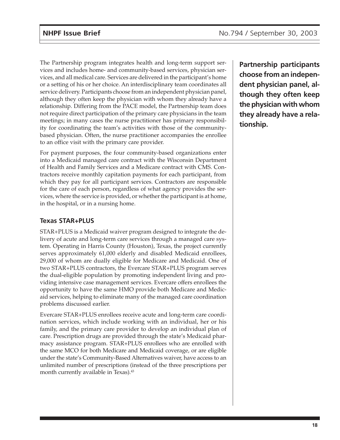The Partnership program integrates health and long-term support services and includes home- and community-based services, physician services, and all medical care. Services are delivered in the participant's home or a setting of his or her choice. An interdisciplinary team coordinates all service delivery. Participants choose from an independent physician panel, although they often keep the physician with whom they already have a relationship. Differing from the PACE model, the Partnership team does not require direct participation of the primary care physicians in the team meetings; in many cases the nurse practitioner has primary responsibility for coordinating the team's activities with those of the communitybased physician. Often, the nurse practitioner accompanies the enrollee to an office visit with the primary care provider.

For payment purposes, the four community-based organizations enter into a Medicaid managed care contract with the Wisconsin Department of Health and Family Services and a Medicare contract with CMS. Contractors receive monthly capitation payments for each participant, from which they pay for all participant services. Contractors are responsible for the care of each person, regardless of what agency provides the services, where the service is provided, or whether the participant is at home, in the hospital, or in a nursing home.

### **Texas STAR+PLUS**

STAR+PLUS is a Medicaid waiver program designed to integrate the delivery of acute and long-term care services through a managed care system. Operating in Harris County (Houston), Texas, the project currently serves approximately 61,000 elderly and disabled Medicaid enrollees, 29,000 of whom are dually eligible for Medicare and Medicaid. One of two STAR+PLUS contractors, the Evercare STAR+PLUS program serves the dual-eligible population by promoting independent living and providing intensive case management services. Evercare offers enrollees the opportunity to have the same HMO provide both Medicare and Medicaid services, helping to eliminate many of the managed care coordination problems discussed earlier.

Evercare STAR+PLUS enrollees receive acute and long-term care coordination services, which include working with an individual, her or his family, and the primary care provider to develop an individual plan of care. Prescription drugs are provided through the state's Medicaid pharmacy assistance program. STAR+PLUS enrollees who are enrolled with the same MCO for both Medicare and Medicaid coverage, or are eligible under the state's Community-Based Alternatives waiver, have access to an unlimited number of prescriptions (instead of the three prescriptions per month currently available in Texas).<sup>43</sup>

**Partnership participants choose from an independent physician panel, although they often keep the physician with whom they already have a relationship.**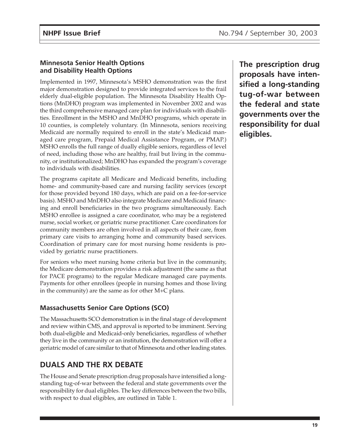### **Minnesota Senior Health Options and Disability Health Options**

Implemented in 1997, Minnesota's MSHO demonstration was the first major demonstration designed to provide integrated services to the frail elderly dual-eligible population. The Minnesota Disability Health Options (MnDHO) program was implemented in November 2002 and was the third comprehensive managed care plan for individuals with disabilities. Enrollment in the MSHO and MnDHO programs, which operate in 10 counties, is completely voluntary. (In Minnesota, seniors receiving Medicaid are normally required to enroll in the state's Medicaid managed care program, Prepaid Medical Assistance Program, or PMAP.) MSHO enrolls the full range of dually eligible seniors, regardless of level of need, including those who are healthy, frail but living in the community, or institutionalized; MnDHO has expanded the program's coverage to individuals with disabilities.

The programs capitate all Medicare and Medicaid benefits, including home- and community-based care and nursing facility services (except for those provided beyond 180 days, which are paid on a fee-for-service basis). MSHO and MnDHO also integrate Medicare and Medicaid financing and enroll beneficiaries in the two programs simultaneously. Each MSHO enrollee is assigned a care coordinator, who may be a registered nurse, social worker, or geriatric nurse practitioner. Care coordinators for community members are often involved in all aspects of their care, from primary care visits to arranging home and community based services. Coordination of primary care for most nursing home residents is provided by geriatric nurse practitioners.

For seniors who meet nursing home criteria but live in the community, the Medicare demonstration provides a risk adjustment (the same as that for PACE programs) to the regular Medicare managed care payments. Payments for other enrollees (people in nursing homes and those living in the community) are the same as for other M+C plans.

## **Massachusetts Senior Care Options (SCO)**

The Massachusetts SCO demonstration is in the final stage of development and review within CMS, and approval is reported to be imminent. Serving both dual-eligible and Medicaid-only beneficiaries, regardless of whether they live in the community or an institution, the demonstration will offer a geriatric model of care similar to that of Minnesota and other leading states.

# **DUALS AND THE RX DEBATE**

The House and Senate prescription drug proposals have intensified a longstanding tug-of-war between the federal and state governments over the responsibility for dual eligibles. The key differences between the two bills, with respect to dual eligibles, are outlined in Table 1.

**The prescription drug proposals have intensified a long-standing tug-of-war between the federal and state governments over the responsibility for dual eligibles.**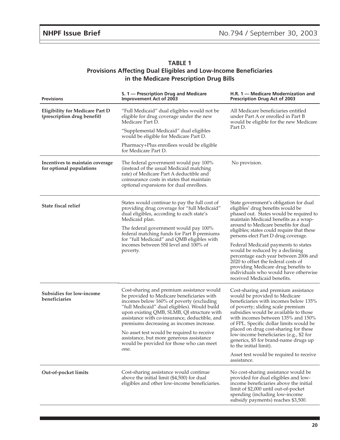| <b>TABLE 1</b>                                                          |  |  |  |  |
|-------------------------------------------------------------------------|--|--|--|--|
| <b>Provisions Affecting Dual Eligibles and Low-Income Beneficiaries</b> |  |  |  |  |
| in the Medicare Prescription Drug Bills                                 |  |  |  |  |

| <b>Provisions</b>                                                                                                                                                                                                                                                                                                                                                                                                                                                                                                         | S. 1 – Prescription Drug and Medicare<br><b>Improvement Act of 2003</b>                                                                                                                                             | H.R. 1 - Medicare Modernization and<br>Prescription Drug Act of 2003                                                                                                                                                                                                                                                                                                                                                                |  |
|---------------------------------------------------------------------------------------------------------------------------------------------------------------------------------------------------------------------------------------------------------------------------------------------------------------------------------------------------------------------------------------------------------------------------------------------------------------------------------------------------------------------------|---------------------------------------------------------------------------------------------------------------------------------------------------------------------------------------------------------------------|-------------------------------------------------------------------------------------------------------------------------------------------------------------------------------------------------------------------------------------------------------------------------------------------------------------------------------------------------------------------------------------------------------------------------------------|--|
| <b>Eligibility for Medicare Part D</b><br>(prescription drug benefit)                                                                                                                                                                                                                                                                                                                                                                                                                                                     | "Full Medicaid" dual eligibles would not be<br>eligible for drug coverage under the new<br>Medicare Part D.                                                                                                         | All Medicare beneficiaries entitled<br>under Part A or enrolled in Part B<br>would be eligible for the new Medicare<br>Part D.                                                                                                                                                                                                                                                                                                      |  |
|                                                                                                                                                                                                                                                                                                                                                                                                                                                                                                                           | "Supplemental Medicaid" dual eligibles<br>would be eligible for Medicare Part D.                                                                                                                                    |                                                                                                                                                                                                                                                                                                                                                                                                                                     |  |
|                                                                                                                                                                                                                                                                                                                                                                                                                                                                                                                           | Pharmacy+Plus enrollees would be eligible<br>for Medicare Part D.                                                                                                                                                   |                                                                                                                                                                                                                                                                                                                                                                                                                                     |  |
| Incentives to maintain coverage<br>for optional populations                                                                                                                                                                                                                                                                                                                                                                                                                                                               | The federal government would pay 100%<br>(instead of the usual Medicaid matching<br>rate) of Medicare Part A deductible and<br>coinsurance costs in states that maintain<br>optional expansions for dual enrollees. | No provision.                                                                                                                                                                                                                                                                                                                                                                                                                       |  |
| State fiscal relief                                                                                                                                                                                                                                                                                                                                                                                                                                                                                                       | States would continue to pay the full cost of<br>providing drug coverage for "full Medicaid"<br>dual eligibles, according to each state's<br>Medicaid plan.<br>The federal government would pay 100%                | State government's obligation for dual<br>eligibles' drug benefits would be<br>phased out. States would be required to<br>maintain Medicaid benefits as a wrap-<br>around to Medicare benefits for dual<br>eligibles; states could require that these                                                                                                                                                                               |  |
|                                                                                                                                                                                                                                                                                                                                                                                                                                                                                                                           | federal matching funds for Part B premiums<br>for "full Medicaid" and QMB eligibles with<br>incomes between SSI level and 100% of<br>poverty.                                                                       | persons elect Part D drug coverage.<br>Federal Medicaid payments to states<br>would be reduced by a declining<br>percentage each year between 2006 and<br>2020 to offset the federal costs of<br>providing Medicare drug benefits to<br>individuals who would have otherwise<br>received Medicaid benefits.                                                                                                                         |  |
| Cost-sharing and premium assistance would<br>Subsidies for low-income<br>be provided to Medicare beneficiaries with<br>beneficiaries<br>incomes below 160% of poverty (excluding<br>"full Medicaid" dual eligibles). Would build<br>upon existing QMB, SLMB, QI structure with<br>assistance with co-insurance, deductible, and<br>premiums decreasing as incomes increase.<br>No asset test would be required to receive<br>assistance, but more generous assistance<br>would be provided for those who can meet<br>one. |                                                                                                                                                                                                                     | Cost-sharing and premium assistance<br>would be provided to Medicare<br>beneficiaries with incomes below 135%<br>of poverty; sliding scale premium<br>subsidies would be available to those<br>with incomes between 135% and 150%<br>of FPL. Specific dollar limits would be<br>placed on drug cost-sharing for these<br>low-income beneficiaries (e.g., \$2 for<br>generics, \$5 for brand-name drugs up<br>to the initial limit). |  |
|                                                                                                                                                                                                                                                                                                                                                                                                                                                                                                                           |                                                                                                                                                                                                                     | Asset test would be required to receive<br>assistance.                                                                                                                                                                                                                                                                                                                                                                              |  |
| Out-of-pocket limits                                                                                                                                                                                                                                                                                                                                                                                                                                                                                                      | Cost-sharing assistance would continue<br>above the initial limit (\$4,500) for dual<br>eligibles and other low-income beneficiaries.                                                                               | No cost-sharing assistance would be<br>provided for dual eligibles and low-<br>income beneficiaries above the initial<br>limit of \$2,000 until out-of-pocket<br>spending (including low-income<br>subsidy payments) reaches \$3,500.                                                                                                                                                                                               |  |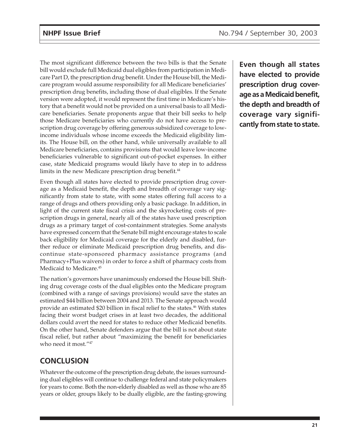The most significant difference between the two bills is that the Senate bill would exclude full Medicaid dual eligibles from participation in Medicare Part D, the prescription drug benefit. Under the House bill, the Medicare program would assume responsibility for all Medicare beneficiaries' prescription drug benefits, including those of dual eligibles. If the Senate version were adopted, it would represent the first time in Medicare's history that a benefit would not be provided on a universal basis to all Medicare beneficiaries. Senate proponents argue that their bill seeks to help those Medicare beneficiaries who currently do not have access to prescription drug coverage by offering generous subsidized coverage to lowincome individuals whose income exceeds the Medicaid eligibility limits. The House bill, on the other hand, while universally available to all Medicare beneficiaries, contains provisions that would leave low-income beneficiaries vulnerable to significant out-of-pocket expenses. In either case, state Medicaid programs would likely have to step in to address limits in the new Medicare prescription drug benefit.<sup>44</sup>

Even though all states have elected to provide prescription drug coverage as a Medicaid benefit, the depth and breadth of coverage vary significantly from state to state, with some states offering full access to a range of drugs and others providing only a basic package. In addition, in light of the current state fiscal crisis and the skyrocketing costs of prescription drugs in general, nearly all of the states have used prescription drugs as a primary target of cost-containment strategies. Some analysts have expressed concern that the Senate bill might encourage states to scale back eligibility for Medicaid coverage for the elderly and disabled, further reduce or eliminate Medicaid prescription drug benefits, and discontinue state-sponsored pharmacy assistance programs (and Pharmacy+Plus waivers) in order to force a shift of pharmacy costs from Medicaid to Medicare.<sup>45</sup>

The nation's governors have unanimously endorsed the House bill. Shifting drug coverage costs of the dual eligibles onto the Medicare program (combined with a range of savings provisions) would save the states an estimated \$44 billion between 2004 and 2013. The Senate approach would provide an estimated \$20 billion in fiscal relief to the states.<sup>46</sup> With states facing their worst budget crises in at least two decades, the additional dollars could avert the need for states to reduce other Medicaid benefits. On the other hand, Senate defenders argue that the bill is not about state fiscal relief, but rather about "maximizing the benefit for beneficiaries who need it most."47

## **CONCLUSION**

Whatever the outcome of the prescription drug debate, the issues surrounding dual eligibles will continue to challenge federal and state policymakers for years to come. Both the non-elderly disabled as well as those who are 85 years or older, groups likely to be dually eligible, are the fasting-growing

**Even though all states have elected to provide prescription drug coverage as a Medicaid benefit, the depth and breadth of coverage vary significantly from state to state.**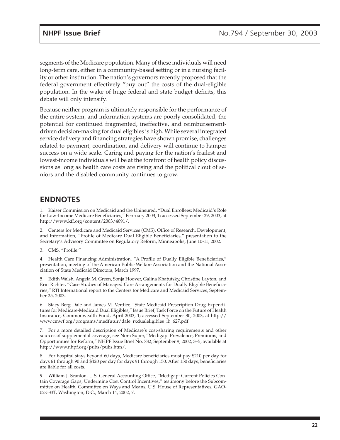segments of the Medicare population. Many of these individuals will need long-term care, either in a community-based setting or in a nursing facility or other institution. The nation's governors recently proposed that the federal government effectively "buy out" the costs of the dual-eligible population. In the wake of huge federal and state budget deficits, this debate will only intensify.

Because neither program is ultimately responsible for the performance of the entire system, and information systems are poorly consolidated, the potential for continued fragmented, ineffective, and reimbursementdriven decision-making for dual eligibles is high. While several integrated service delivery and financing strategies have shown promise, challenges related to payment, coordination, and delivery will continue to hamper success on a wide scale. Caring and paying for the nation's frailest and lowest-income individuals will be at the forefront of health policy discussions as long as health care costs are rising and the political clout of seniors and the disabled community continues to grow.

## **ENDNOTES**

1. Kaiser Commission on Medicaid and the Uninsured, "Dual Enrollees: Medicaid's Role for Low-Income Medicare Beneficiaries," February 2003, 1; accessed September 29, 2003, at http://www.kff.org/content/2003/4091/.

2. Centers for Medicare and Medicaid Services (CMS), Office of Research, Development, and Information, "Profile of Medicare Dual Eligible Beneficiaries," presentation to the Secretary's Advisory Committee on Regulatory Reform, Minneapolis, June 10-11, 2002.

3. CMS, "Profile."

4. Health Care Financing Administration, "A Profile of Dually Eligible Beneficiaries," presentation, meeting of the American Public Welfare Association and the National Association of State Medicaid Directors, March 1997.

5. Edith Walsh, Angela M. Green, Sonja Hoover, Galina Khatutsky, Christine Layton, and Erin Richter, "Case Studies of Managed Care Arrangements for Dually Eligible Beneficiaries," RTI International report to the Centers for Medicare and Medicaid Services, September 25, 2003.

6. Stacy Berg Dale and James M. Verdier, "State Medicaid Prescription Drug Expenditures for Medicare-Medicaid Dual Eligibles," Issue Brief, Task Force on the Future of Health Insurance, Commonwealth Fund, April 2003, 1; accessed September 30, 2003, at http:// www.cmwf.org/programs/medfutur/dale\_rxdualeligibles\_ib\_627.pdf.

7. For a more detailed description of Medicare's cost-sharing requirements and other sources of supplemental coverage, see Nora Super, "Medigap: Prevalence, Premiums, and Opportunities for Reform," NHPF Issue Brief No. 782, September 9, 2002, 3–5; available at http://www.nhpf.org/pubs/pubs.htm/.

8. For hospital stays beyond 60 days, Medicare beneficiaries must pay \$210 per day for days 61 through 90 and \$420 per day for days 91 through 150. After 150 days, beneficiaries are liable for all costs.

9. William J. Scanlon, U.S. General Accounting Office, "Medigap: Current Policies Contain Coverage Gaps, Undermine Cost Control Incentives," testimony before the Subcommittee on Health, Committee on Ways and Means, U.S. House of Representatives, GAO-02-533T, Washington, D.C., March 14, 2002, 7.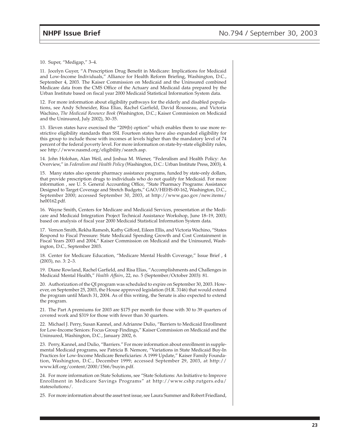10. Super, "Medigap," 3–4.

11. Jocelyn Guyer, "A Prescription Drug Benefit in Medicare: Implications for Medicaid and Low-Income Individuals," Alliance for Health Reform Briefing, Washington, D.C., September 4, 2003. The Kaiser Commission on Medicaid and the Uninsured combined Medicare data from the CMS Office of the Actuary and Medicaid data prepared by the Urban Institute based on fiscal year 2000 Medicaid Statistical Information System data.

12. For more information about eligibility pathways for the elderly and disabled populations, see Andy Schneider, Risa Elias, Rachel Garfield, David Rousseau, and Victoria Wachino, *The Medicaid Resource Book* (Washington, D.C.; Kaiser Commission on Medicaid and the Uninsured, July 2002), 30–35.

13. Eleven states have exercised the "209(b) option" which enables them to use more restrictive eligibility standards than SSI. Fourteen states have also expanded eligibility for this group to include those with incomes at levels higher than the mandatory level of 74 percent of the federal poverty level. For more information on state-by-state eligibility rules, see http://www.nasmd.org/eligibility/search.asp.

14. John Holohan, Alan Weil, and Joshua M. Wiener, "Federalism and Health Policy: An Overview," in *Federalism and Health Policy* (Washington, D.C.: Urban Institute Press, 2003), 4.

15. Many states also operate pharmacy assistance programs, funded by state-only dollars, that provide prescription drugs to individuals who do not qualify for Medicaid. For more information , see U. S. General Accounting Office, "State Pharmacy Programs: Assistance Designed to Target Coverage and Stretch Budgets," GAO/HEHS-00-162, Washington, D.C., September 2000; accessed September 30, 2003, at http://www.gao.gov/new.items/ he00162.pdf.

16. Wayne Smith, Centers for Medicare and Medicaid Services, presentation at the Medicare and Medicaid Integration Project Technical Assistance Workshop, June 18–19, 2003; based on analysis of fiscal year 2000 Medicaid Statistical Information System data.

17. Vernon Smith, Rekha Ramesh, Kathy Gifford, Eileen Ellis, and Victoria Wachino, "States Respond to Fiscal Pressure: State Medicaid Spending Growth and Cost Containment in Fiscal Years 2003 and 2004," Kaiser Commission on Medicaid and the Uninsured, Washington, D.C., September 2003.

18. Center for Medicare Education, "Medicare Mental Health Coverage," Issue Brief , 4 (2003), no. 3: 2–3.

19. Diane Rowland, Rachel Garfield, and Risa Elias, "Accomplishments and Challenges in Medicaid Mental Health," *Health Affairs*, 22, no. 5 (September/October 2003): 81.

20. Authorization of the QI program was scheduled to expire on September 30, 2003. However, on September 25, 2003, the House approved legislation (H.R. 3146) that would extend the program until March 31, 2004. As of this writing, the Senate is also expected to extend the program.

21. The Part A premiums for 2003 are \$175 per month for those with 30 to 39 quarters of covered work and \$319 for those with fewer than 30 quarters.

22. Michael J. Perry, Susan Kannel, and Adrianne Dulio, "Barriers to Medicaid Enrollment for Low-Income Seniors: Focus Group Findings," Kaiser Commission on Medicaid and the Uninsured, Washington, D.C., January 2002, 6.

23. Perry, Kannel, and Dulio, "Barriers." For more information about enrollment in supplemental Medicaid programs, see Patricia B. Nemore, "Variations in State Medicaid Buy-In Practices for Low-Income Medicare Beneficiaries: A 1999 Update," Kaiser Family Foundation, Washington, D.C., December 1999; accessed September 29, 2003, at http:// www.kff.org/content/2000/1566/buyin.pdf.

24. For more information on State Solutions, see "State Solutions: An Initiative to Improve Enrollment in Medicare Savings Programs" at http://www.cshp.rutgers.edu/ statesolutions/.

25. For more information about the asset test issue, see Laura Summer and Robert Friedland,